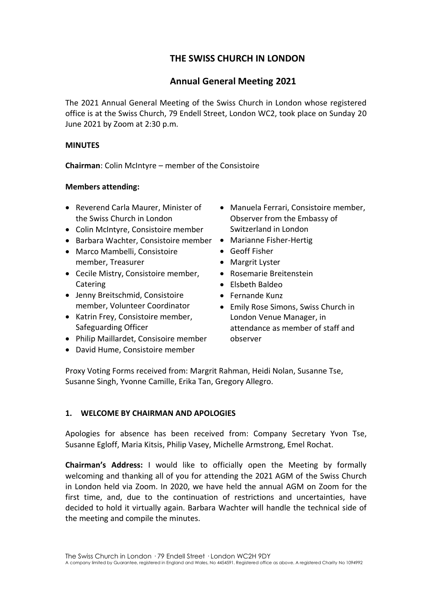# **THE SWISS CHURCH IN LONDON**

# **Annual General Meeting 2021**

The 2021 Annual General Meeting of the Swiss Church in London whose registered office is at the Swiss Church, 79 Endell Street, London WC2, took place on Sunday 20 June 2021 by Zoom at 2:30 p.m.

# **MINUTES**

**Chairman**: Colin McIntyre – member of the Consistoire

# **Members attending:**

- Reverend Carla Maurer, Minister of the Swiss Church in London
- Colin McIntyre, Consistoire member
- Barbara Wachter, Consistoire member Marianne Fisher-Hertig
- Marco Mambelli, Consistoire member, Treasurer
- Cecile Mistry, Consistoire member, Catering
- Jenny Breitschmid, Consistoire member, Volunteer Coordinator
- Katrin Frey, Consistoire member, Safeguarding Officer
- Philip Maillardet, Consisoire member
- David Hume, Consistoire member
- Manuela Ferrari, Consistoire member, Observer from the Embassy of Switzerland in London
- 
- Geoff Fisher
- Margrit Lyster
- Rosemarie Breitenstein
- Elsbeth Baldeo
- Fernande Kunz
- Emily Rose Simons, Swiss Church in London Venue Manager, in attendance as member of staff and observer

Proxy Voting Forms received from: Margrit Rahman, Heidi Nolan, Susanne Tse, Susanne Singh, Yvonne Camille, Erika Tan, Gregory Allegro.

# **1. WELCOME BY CHAIRMAN AND APOLOGIES**

Apologies for absence has been received from: Company Secretary Yvon Tse, Susanne Egloff, Maria Kitsis, Philip Vasey, Michelle Armstrong, Emel Rochat.

**Chairman's Address:** I would like to officially open the Meeting by formally welcoming and thanking all of you for attending the 2021 AGM of the Swiss Church in London held via Zoom. In 2020, we have held the annual AGM on Zoom for the first time, and, due to the continuation of restrictions and uncertainties, have decided to hold it virtually again. Barbara Wachter will handle the technical side of the meeting and compile the minutes.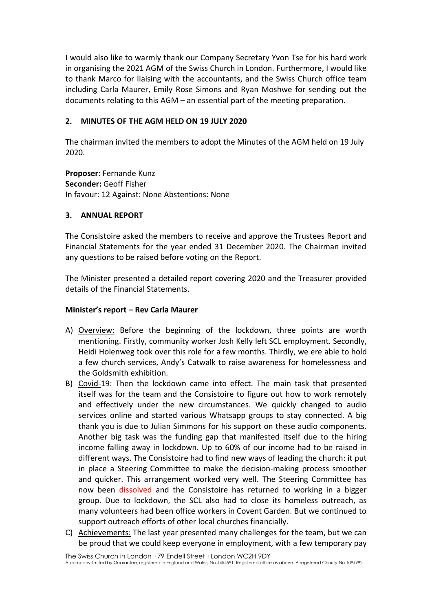I would also like to warmly thank our Company Secretary Yvon Tse for his hard work in organising the 2021 AGM of the Swiss Church in London. Furthermore, I would like to thank Marco for liaising with the accountants, and the Swiss Church office team including Carla Maurer, Emily Rose Simons and Ryan Moshwe for sending out the documents relating to this AGM – an essential part of the meeting preparation.

# **2. MINUTES OF THE AGM HELD ON 19 JULY 2020**

The chairman invited the members to adopt the Minutes of the AGM held on 19 July 2020.

**Proposer:** Fernande Kunz **Seconder:** Geoff Fisher In favour: 12 Against: None Abstentions: None

# **3. ANNUAL REPORT**

The Consistoire asked the members to receive and approve the Trustees Report and Financial Statements for the year ended 31 December 2020. The Chairman invited any questions to be raised before voting on the Report.

The Minister presented a detailed report covering 2020 and the Treasurer provided details of the Financial Statements.

## **Minister's report – Rev Carla Maurer**

- A) Overview: Before the beginning of the lockdown, three points are worth mentioning. Firstly, community worker Josh Kelly left SCL employment. Secondly, Heidi Holenweg took over this role for a few months. Thirdly, we ere able to hold a few church services, Andy's Catwalk to raise awareness for homelessness and the Goldsmith exhibition.
- B) Covid-19: Then the lockdown came into effect. The main task that presented itself was for the team and the Consistoire to figure out how to work remotely and effectively under the new circumstances. We quickly changed to audio services online and started various Whatsapp groups to stay connected. A big thank you is due to Julian Simmons for his support on these audio components. Another big task was the funding gap that manifested itself due to the hiring income falling away in lockdown. Up to 60% of our income had to be raised in different ways. The Consistoire had to find new ways of leading the church: it put in place a Steering Committee to make the decision-making process smoother and quicker. This arrangement worked very well. The Steering Committee has now been dissolved and the Consistoire has returned to working in a bigger group. Due to lockdown, the SCL also had to close its homeless outreach, as many volunteers had been office workers in Covent Garden. But we continued to support outreach efforts of other local churches financially.
- C) Achievements: The last year presented many challenges for the team, but we can be proud that we could keep everyone in employment, with a few temporary pay

The Swiss Church in London · 79 Endell Street · London WC2H 9DY

A company limited by Guarantee, registered in England and Wales, No 4454591. Registered office as above. A registered Charity No 1094992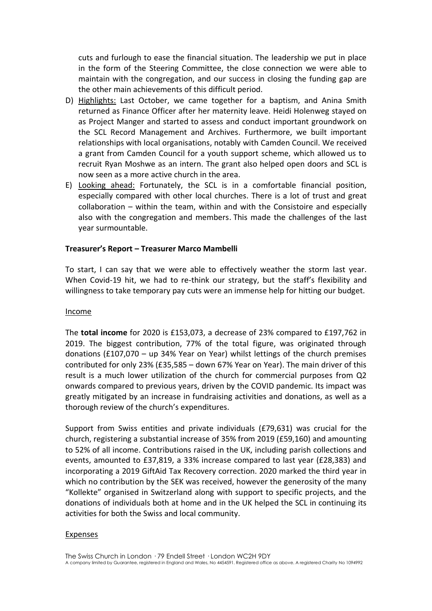cuts and furlough to ease the financial situation. The leadership we put in place in the form of the Steering Committee, the close connection we were able to maintain with the congregation, and our success in closing the funding gap are the other main achievements of this difficult period.

- D) Highlights: Last October, we came together for a baptism, and Anina Smith returned as Finance Officer after her maternity leave. Heidi Holenweg stayed on as Project Manger and started to assess and conduct important groundwork on the SCL Record Management and Archives. Furthermore, we built important relationships with local organisations, notably with Camden Council. We received a grant from Camden Council for a youth support scheme, which allowed us to recruit Ryan Moshwe as an intern. The grant also helped open doors and SCL is now seen as a more active church in the area.
- E) Looking ahead: Fortunately, the SCL is in a comfortable financial position, especially compared with other local churches. There is a lot of trust and great collaboration – within the team, within and with the Consistoire and especially also with the congregation and members. This made the challenges of the last year surmountable.

#### **Treasurer's Report – Treasurer Marco Mambelli**

To start, I can say that we were able to effectively weather the storm last year. When Covid-19 hit, we had to re-think our strategy, but the staff's flexibility and willingness to take temporary pay cuts were an immense help for hitting our budget.

#### Income

The **total income** for 2020 is £153,073, a decrease of 23% compared to £197,762 in 2019. The biggest contribution, 77% of the total figure, was originated through donations (£107,070 – up 34% Year on Year) whilst lettings of the church premises contributed for only 23% (£35,585 – down 67% Year on Year). The main driver of this result is a much lower utilization of the church for commercial purposes from Q2 onwards compared to previous years, driven by the COVID pandemic. Its impact was greatly mitigated by an increase in fundraising activities and donations, as well as a thorough review of the church's expenditures.

Support from Swiss entities and private individuals (£79,631) was crucial for the church, registering a substantial increase of 35% from 2019 (£59,160) and amounting to 52% of all income. Contributions raised in the UK, including parish collections and events, amounted to £37,819, a 33% increase compared to last year (£28,383) and incorporating a 2019 GiftAid Tax Recovery correction. 2020 marked the third year in which no contribution by the SEK was received, however the generosity of the many "Kollekte" organised in Switzerland along with support to specific projects, and the donations of individuals both at home and in the UK helped the SCL in continuing its activities for both the Swiss and local community.

#### Expenses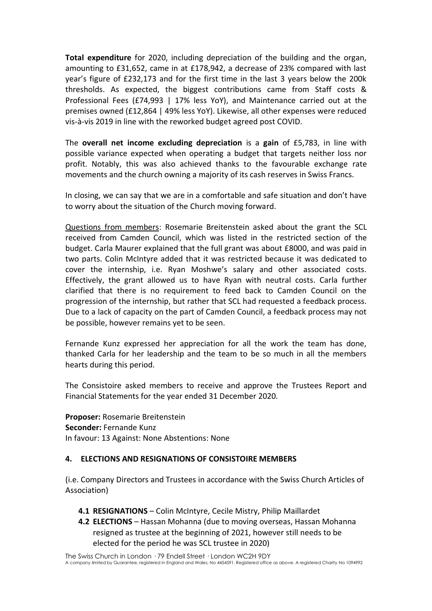**Total expenditure** for 2020, including depreciation of the building and the organ, amounting to £31,652, came in at £178,942, a decrease of 23% compared with last year's figure of £232,173 and for the first time in the last 3 years below the 200k thresholds. As expected, the biggest contributions came from Staff costs & Professional Fees (£74,993 | 17% less YoY), and Maintenance carried out at the premises owned (£12,864 | 49% less YoY). Likewise, all other expenses were reduced vis-à-vis 2019 in line with the reworked budget agreed post COVID.

The **overall net income excluding depreciation** is a **gain** of £5,783, in line with possible variance expected when operating a budget that targets neither loss nor profit. Notably, this was also achieved thanks to the favourable exchange rate movements and the church owning a majority of its cash reserves in Swiss Francs.

In closing, we can say that we are in a comfortable and safe situation and don't have to worry about the situation of the Church moving forward.

Questions from members: Rosemarie Breitenstein asked about the grant the SCL received from Camden Council, which was listed in the restricted section of the budget. Carla Maurer explained that the full grant was about £8000, and was paid in two parts. Colin McIntyre added that it was restricted because it was dedicated to cover the internship, i.e. Ryan Moshwe's salary and other associated costs. Effectively, the grant allowed us to have Ryan with neutral costs. Carla further clarified that there is no requirement to feed back to Camden Council on the progression of the internship, but rather that SCL had requested a feedback process. Due to a lack of capacity on the part of Camden Council, a feedback process may not be possible, however remains yet to be seen.

Fernande Kunz expressed her appreciation for all the work the team has done, thanked Carla for her leadership and the team to be so much in all the members hearts during this period.

The Consistoire asked members to receive and approve the Trustees Report and Financial Statements for the year ended 31 December 2020.

**Proposer:** Rosemarie Breitenstein **Seconder:** Fernande Kunz In favour: 13 Against: None Abstentions: None

### **4. ELECTIONS AND RESIGNATIONS OF CONSISTOIRE MEMBERS**

(i.e. Company Directors and Trustees in accordance with the Swiss Church Articles of Association)

- **4.1 RESIGNATIONS** Colin McIntyre, Cecile Mistry, Philip Maillardet
- **4.2 ELECTIONS** Hassan Mohanna (due to moving overseas, Hassan Mohanna resigned as trustee at the beginning of 2021, however still needs to be elected for the period he was SCL trustee in 2020)